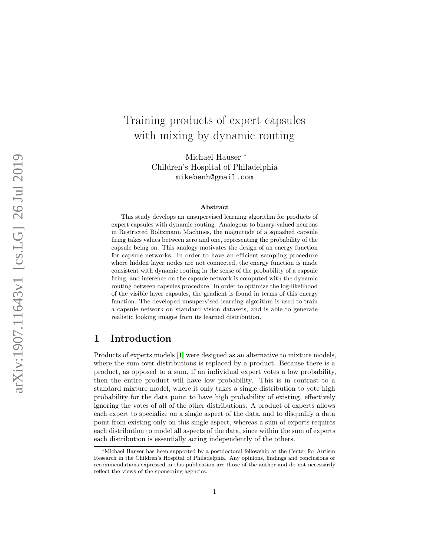# Training products of expert capsules with mixing by dynamic routing

Michael Hauser \* Children's Hospital of Philadelphia mikebenh@gmail.com

#### Abstract

This study develops an unsupervised learning algorithm for products of expert capsules with dynamic routing. Analogous to binary-valued neurons in Restricted Boltzmann Machines, the magnitude of a squashed capsule firing takes values between zero and one, representing the probability of the capsule being on. This analogy motivates the design of an energy function for capsule networks. In order to have an efficient sampling procedure where hidden layer nodes are not connected, the energy function is made consistent with dynamic routing in the sense of the probability of a capsule firing, and inference on the capsule network is computed with the dynamic routing between capsules procedure. In order to optimize the log-likelihood of the visible layer capsules, the gradient is found in terms of this energy function. The developed unsupervised learning algorithm is used to train a capsule network on standard vision datasets, and is able to generate realistic looking images from its learned distribution.

## 1 Introduction

Products of experts models [ [1\]](#page-11-0) were designed as an alternative to mixture models, where the sum over distributions is replaced by a product. Because there is a product, as opposed to a sum, if an individual expert votes a low probability, then the entire product will have low probability. This is in contrast to a standard mixture model, where it only takes a single distribution to vote high probability for the data point to have high probability of existing, effectively ignoring the votes of all of the other distributions. A product of experts allows each expert to specialize on a single aspect of the data, and to disqualify a data point from existing only on this single aspect, whereas a sum of experts requires each distribution to model all aspects of the data, since within the sum of experts each distribution is essentially acting independently of the others.

<sup>∗</sup>Michael Hauser has been supported by a postdoctoral fellowship at the Center for Autism Research in the Children's Hospital of Philadelphia. Any opinions, findings and conclusions or recommendations expressed in this publication are those of the author and do not necessarily reflect the views of the sponsoring agencies.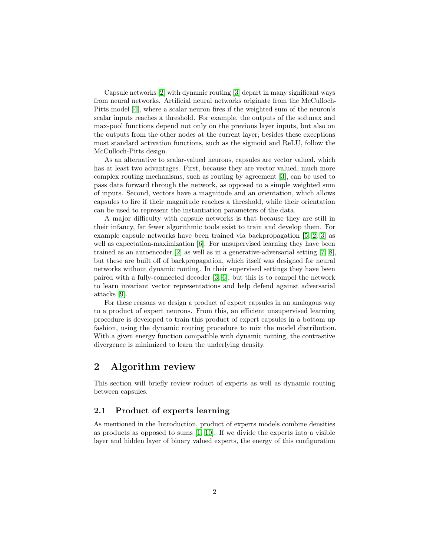Capsule networks [\[2\]](#page-11-1) with dynamic routing [\[3\]](#page-11-2) depart in many significant ways from neural networks. Artificial neural networks originate from the McCulloch-Pitts model [\[4\]](#page-11-3), where a scalar neuron fires if the weighted sum of the neuron's scalar inputs reaches a threshold. For example, the outputs of the softmax and max-pool functions depend not only on the previous layer inputs, but also on the outputs from the other nodes at the current layer; besides these exceptions most standard activation functions, such as the sigmoid and ReLU, follow the McCulloch-Pitts design.

As an alternative to scalar-valued neurons, capsules are vector valued, which has at least two advantages. First, because they are vector valued, much more complex routing mechanisms, such as routing by agreement [\[3\]](#page-11-2), can be used to pass data forward through the network, as opposed to a simple weighted sum of inputs. Second, vectors have a magnitude and an orientation, which allows capsules to fire if their magnitude reaches a threshold, while their orientation can be used to represent the instantiation parameters of the data.

A major difficulty with capsule networks is that because they are still in their infancy, far fewer algorithmic tools exist to train and develop them. For example capsule networks have been trained via backpropagation [\[5,](#page-11-4) [2,](#page-11-1) [3\]](#page-11-2) as well as expectation-maximization [\[6\]](#page-11-5). For unsupervised learning they have been trained as an autoencoder [\[2\]](#page-11-1) as well as in a generative-adversarial setting [\[7,](#page-11-6) [8\]](#page-11-7), but these are built off of backpropagation, which itself was designed for neural networks without dynamic routing. In their supervised settings they have been paired with a fully-connected decoder [\[3,](#page-11-2) [6\]](#page-11-5), but this is to compel the network to learn invariant vector representations and help defend against adversarial attacks [\[9\]](#page-11-8).

For these reasons we design a product of expert capsules in an analogous way to a product of expert neurons. From this, an efficient unsupervised learning procedure is developed to train this product of expert capsules in a bottom up fashion, using the dynamic routing procedure to mix the model distribution. With a given energy function compatible with dynamic routing, the contrastive divergence is minimized to learn the underlying density.

## 2 Algorithm review

This section will briefly review roduct of experts as well as dynamic routing between capsules.

### 2.1 Product of experts learning

As mentioned in the Introduction, product of experts models combine densities as products as opposed to sums [\[1,](#page-11-0) [10\]](#page-11-9). If we divide the experts into a visible layer and hidden layer of binary valued experts, the energy of this configuration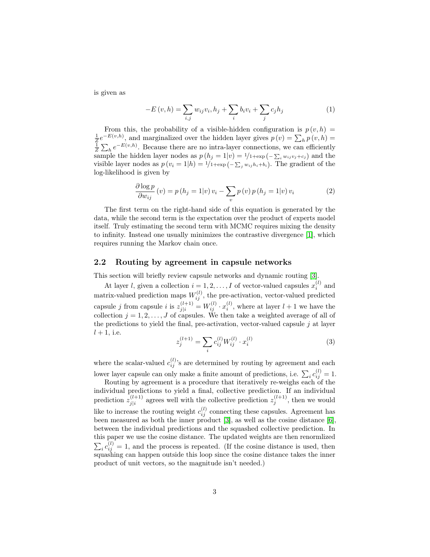is given as

$$
-E(v, h) = \sum_{i,j} w_{ij} v_i, h_j + \sum_i b_i v_i + \sum_j c_j h_j
$$
 (1)

From this, the probability of a visible-hidden configuration is  $p(v, h) =$  $\frac{1}{Z}e^{-E(v,h)}$ , and marginalized over the hidden layer gives  $p(v) = \sum_h p(v,h) =$  $\frac{1}{Z} \sum_{h} e^{-E(v,h)}$ . Because there are no intra-layer connections, we can efficiently sample the hidden layer nodes as  $p(h_j = 1|v) = \frac{1}{1+\exp(-\sum_i w_{ij}v_j + c_j)}$  and the visible layer nodes as  $p(v_i = 1|h) = \frac{1}{1+\exp(-\sum_j w_{ij}h_i + b_i)}$ . The gradient of the log-likelihood is given by

$$
\frac{\partial \log p}{\partial w_{ij}}(v) = p(h_j = 1|v) v_i - \sum_v p(v) p(h_j = 1|v) v_i \tag{2}
$$

The first term on the right-hand side of this equation is generated by the data, while the second term is the expectation over the product of experts model itself. Truly estimating the second term with MCMC requires mixing the density to infinity. Instead one usually minimizes the contrastive divergence [\[1\]](#page-11-0), which requires running the Markov chain once.

#### 2.2 Routing by agreement in capsule networks

This section will briefly review capsule networks and dynamic routing [\[3\]](#page-11-2).

At layer l, given a collection  $i = 1, 2, ..., I$  of vector-valued capsules  $x_i^{(l)}$  and matrix-valued prediction maps  $W_{ij}^{(l)}$ , the pre-activation, vector-valued predicted capsule j from capsule i is  $z_{j|i}^{(l+1)} = W_{ij}^{(l)} \cdot x_i^{(l)}$ , where at layer  $l+1$  we have the collection  $j = 1, 2, \ldots, J$  of capsules. We then take a weighted average of all of the predictions to yield the final, pre-activation, vector-valued capsule  $j$  at layer  $l+1$ , i.e.

$$
z_j^{(l+1)} = \sum_i c_{ij}^{(l)} W_{ij}^{(l)} \cdot x_i^{(l)}
$$
(3)

where the scalar-valued  $c_{ij}^{(l)}$ 's are determined by routing by agreement and each lower layer capsule can only make a finite amount of predictions, i.e.  $\sum_i c_{ij}^{(l)} = 1$ .

Routing by agreement is a procedure that iteratively re-weighs each of the individual predictions to yield a final, collective prediction. If an individual prediction  $z_{i|i}^{(l+1)}$  $j_i^{(l+1)}$  agrees well with the collective prediction  $z_j^{(l+1)}$ , then we would like to increase the routing weight  $c_{ij}^{(l)}$  connecting these capsules. Agreement has been measured as both the inner product [\[3\]](#page-11-2), as well as the cosine distance [\[6\]](#page-11-5), between the individual predictions and the squashed collective prediction. In this paper we use the cosine distance. The updated weights are then renormlized  $\sum_i c_{ij}^{(l)} = 1$ , and the process is repeated. (If the cosine distance is used, then squashing can happen outside this loop since the cosine distance takes the inner product of unit vectors, so the magnitude isn't needed.)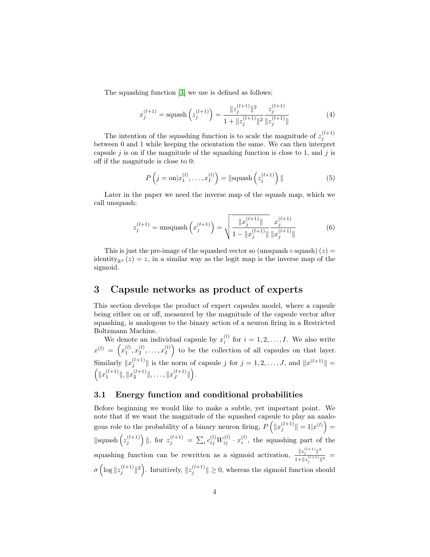The squashing function [\[3\]](#page-11-2) we use is defined as follows:

$$
x_j^{(l+1)} = \text{squash}\left(z_j^{(l+1)}\right) = \frac{\|z_j^{(l+1)}\|^2}{1 + \|z_j^{(l+1)}\|^2} \frac{z_j^{(l+1)}}{\|z_j^{(l+1)}\|} \tag{4}
$$

The intention of the squashing function is to scale the magnitude of  $z_j^{(l+1)}$ between 0 and 1 while keeping the orientation the same. We can then interpret capsule  $j$  is on if the magnitude of the squashing function is close to 1, and  $j$  is off if the magnitude is close to 0:

$$
P\left(j=\text{on}|x_1^{(l)},\ldots,x_I^{(l)}\right) = \|\text{squash}\left(z_j^{(l+1)}\right)\|
$$
\n<sup>(5)</sup>

Later in the paper we need the inverse map of the squash map, which we call unsquash:

$$
z_j^{(l+1)} = \text{unsquash}\left(x_j^{(l+1)}\right) = \sqrt{\frac{||x_j^{(l+1)}||}{1 - ||x_j^{(l+1)}||}} \frac{x_j^{(l+1)}}{||x_j^{(l+1)}||}
$$
(6)

This is just the pre-image of the squashed vector so (unsquash  $\circ$  squash) (z) = identity<sub>Rd</sub>  $(z) = z$ , in a similar way as the logit map is the inverse map of the sigmoid.

## 3 Capsule networks as product of experts

This section develops the product of expert capsules model, where a capsule being either on or off, measured by the magnitude of the capsule vector after squashing, is analogous to the binary action of a neuron firing in a Restricted Boltzmann Machine.

We denote an individual capsule by  $x_i^{(l)}$  for  $i = 1, 2, ..., I$ . We also write  $x^{(l)}\ =\ \left(x_1^{(l)},x_2^{(l)},\ldots,x_I^{(l)}\right)$  $\binom{l}{I}$  to be the collection of all capsules on that layer. Similarly  $||x_j^{(l+1)}||$  is the norm of capsule j for  $j = 1, 2, ..., J$ , and  $||x^{(l+1)}|| =$  $\left( \|x_1^{(l+1)}\|, \|x_2^{(l+1)}\|, \ldots, \|x_J^{(l+1)}\| \right)$  $\binom{l+1}{J}$ .

#### 3.1 Energy function and conditional probabilities

Before beginning we would like to make a subtle, yet important point. We note that if we want the magnitude of the squashed capsule to play an analogous role to the probability of a binary neuron firing,  $P\left(\Vert x_j^{(l+1)} \Vert = 1 \vert x^{(l)}\right) =$  $\left\|\text{quash}\left(z_j^{(l+1)}\right)\right\|, \text{ for } z_j^{(l+1)} = \sum_i c_{ij}^{(l)} W_{ij}^{(l)} \cdot x_i^{(l)}, \text{ the squashing part of the}$ squashing function can be rewritten as a sigmoid activation,  $\frac{\|z_j^{(l+1)}\|^2}{\|z_j^{(l+1)}\|^{2}}$  $\frac{\|^2j}{1+\|z_j^{(l+1)}\|^2} =$  $\sigma\left(\log||z_j^{(l+1)}||^2\right)$ . Intuitively,  $||z_j^{(l+1)}|| \geq 0$ , whereas the sigmoid function should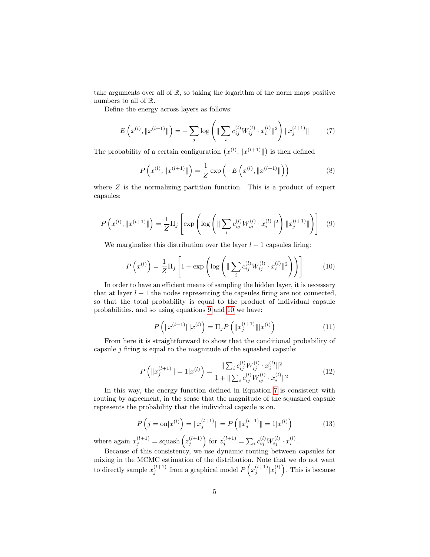take arguments over all of R, so taking the logarithm of the norm maps positive numbers to all of R.

<span id="page-4-2"></span>Define the energy across layers as follows:

$$
E\left(x^{(l)}, \|x^{(l+1)}\|\right) = -\sum_{j} \log\left(\|\sum_{i} c_{ij}^{(l)} W_{ij}^{(l)} \cdot x_i^{(l)}\|^2\right) \|x_j^{(l+1)}\| \tag{7}
$$

The probability of a certain configuration  $(x^{(l)}, \|x^{(l+1)}\|)$  is then defined

$$
P\left(x^{(l)}, \|x^{(l+1)}\|\right) = \frac{1}{Z} \exp\left(-E\left(x^{(l)}, \|x^{(l+1)}\|\right)\right) \tag{8}
$$

where  $Z$  is the normalizing partition function. This is a product of expert capsules:

<span id="page-4-0"></span>
$$
P\left(x^{(l)}, \|x^{(l+1)}\|\right) = \frac{1}{Z}\Pi_j \left[\exp\left(\log\left(\|\sum_i c_{ij}^{(l)} W_{ij}^{(l)} \cdot x_i^{(l)}\|^2\right) \|x_j^{(l+1)}\|\right)\right] \tag{9}
$$

<span id="page-4-1"></span>We marginalize this distribution over the layer  $l + 1$  capsules firing:

$$
P\left(x^{(l)}\right) = \frac{1}{Z}\Pi_j \left[1 + \exp\left(\log\left(\|\sum_i c_{ij}^{(l)} W_{ij}^{(l)} \cdot x_i^{(l)}\|^2\right)\right)\right]
$$
(10)

In order to have an efficient means of sampling the hidden layer, it is necessary that at layer  $l + 1$  the nodes representing the capsules firing are not connected, so that the total probability is equal to the product of individual capsule probabilities, and so using equations [9](#page-4-0) and [10](#page-4-1) we have:

$$
P\left(\|x^{(l+1)}\| |x^{(l)}\right) = \Pi_j P\left(\|x_j^{(l+1)}\| |x^{(l)}\right) \tag{11}
$$

<span id="page-4-3"></span>From here it is straightforward to show that the conditional probability of capsule  $j$  firing is equal to the magnitude of the squashed capsule:

$$
P\left(\|x_j^{(l+1)}\| = 1|x^{(l)}\right) = \frac{\|\sum_i c_{ij}^{(l)} W_{ij}^{(l)} \cdot x_i^{(l)}\|^2}{1 + \|\sum_i c_{ij}^{(l)} W_{ij}^{(l)} \cdot x_i^{(l)}\|^2}
$$
(12)

In this way, the energy function defined in Equation [7](#page-4-2) is consistent with routing by agreement, in the sense that the magnitude of the squashed capsule represents the probability that the individual capsule is on.

$$
P\left(j=\text{on}|x^{(l)}\right) = \|x_j^{(l+1)}\| = P\left(\|x_j^{(l+1)}\| = 1|x^{(l)}\right) \tag{13}
$$

where again  $x_j^{(l+1)} = \text{squash}\left(z_j^{(l+1)}\right)$  for  $z_j^{(l+1)} = \sum_i c_{ij}^{(l)} W_{ij}^{(l)} \cdot x_i^{(l)}$ .

Because of this consistency, we use dynamic routing between capsules for mixing in the MCMC estimation of the distribution. Note that we do not want to directly sample  $x_j^{(l+1)}$  from a graphical model  $P(x_j^{(l+1)}|x_i^{(l)})$ . This is because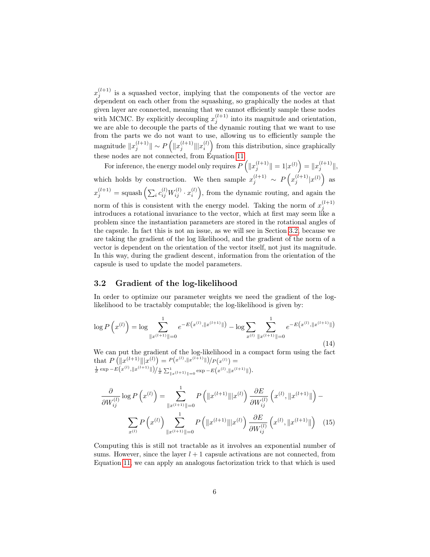$x_j^{(l+1)}$  is a squashed vector, implying that the components of the vector are dependent on each other from the squashing, so graphically the nodes at that given layer are connected, meaning that we cannot efficiently sample these nodes with MCMC. By explicitly decoupling  $x_j^{(l+1)}$  into its magnitude and orientation, we are able to decouple the parts of the dynamic routing that we want to use from the parts we do not want to use, allowing us to efficiently sample the magnitude  $||x_j^{(l+1)}|| \sim P\left(||x_j^{(l+1)}|| |x_i^{(l)}\right)$  from this distribution, since graphically these nodes are not connected, from Equation [11.](#page-4-3)

For inference, the energy model only requires  $P\left(\|x_j^{(l+1)}\| = 1 | x^{(l)}\right) = \|x_j^{(l+1)}\|,$ which holds by construction. We then sample  $x_j^{(l+1)} \sim P(x_j^{(l+1)}|x^{(l)})$  as  $x_j^{(l+1)} = \text{squash}\left(\sum_i c_{ij}^{(l)} W_{ij}^{(l)} \cdot x_i^{(l)}\right)$ , from the dynamic routing, and again the norm of this is consistent with the energy model. Taking the norm of  $x_j^{(l+1)}$ introduces a rotational invariance to the vector, which at first may seem like a problem since the instantiation parameters are stored in the rotational angles of the capsule. In fact this is not an issue, as we will see in Section [3.2,](#page-5-0) because we are taking the gradient of the log likelihood, and the gradient of the norm of a vector is dependent on the orientation of the vector itself, not just its magnitude. In this way, during the gradient descent, information from the orientation of the capsule is used to update the model parameters.

#### <span id="page-5-0"></span>3.2 Gradient of the log-likelihood

In order to optimize our parameter weights we need the gradient of the loglikelihood to be tractably computable; the log-likelihood is given by:

$$
\log P\left(x^{(l)}\right) = \log \sum_{\|x^{(l+1)}\| = 0}^1 e^{-E\left(x^{(l)}, \|x^{(l+1)}\|\right)} - \log \sum_{x^{(l)}} \sum_{\|x^{(l+1)}\| = 0}^1 e^{-E\left(x^{(l)}, \|x^{(l+1)}\|\right)}
$$
\n(14)

We can put the gradient of the log-likelihood in a compact form using the fact that  $P\left(\|x^{(l+1)}\| |x^{(l)}\right) = P(x^{(l)}, \|x^{(l+1)}\|) / P(x^{(l)}) =$ <br>  $\frac{1}{Z} \exp{-E(x^{(l)}, \|x^{(l+1)}\|)} / \frac{1}{Z} \sum_{\|x^{(l+1)}\|=0}^{\infty} \exp{-E(x^{(l)}, \|x^{(l+1)}\|)}.$ 

$$
\frac{\partial}{\partial W_{ij}^{(l)}} \log P\left(x^{(l)}\right) = \sum_{\|x^{(l+1)}\| = 0}^{1} P\left(\|x^{(l+1)}\| |x^{(l)}\right) \frac{\partial E}{\partial W_{ij}^{(l)}} \left(x^{(l)}, \|x^{(l+1)}\|\right) - \sum_{x^{(l)}} P\left(x^{(l)}\right) \sum_{\|x^{(l+1)}\| = 0}^{1} P\left(\|x^{(l+1)}\| |x^{(l)}\right) \frac{\partial E}{\partial W_{ij}^{(l)}} \left(x^{(l)}, \|x^{(l+1)}\|\right) \tag{15}
$$

Computing this is still not tractable as it involves an exponential number of sums. However, since the layer  $l + 1$  capsule activations are not connected, from Equation [11,](#page-4-3) we can apply an analogous factorization trick to that which is used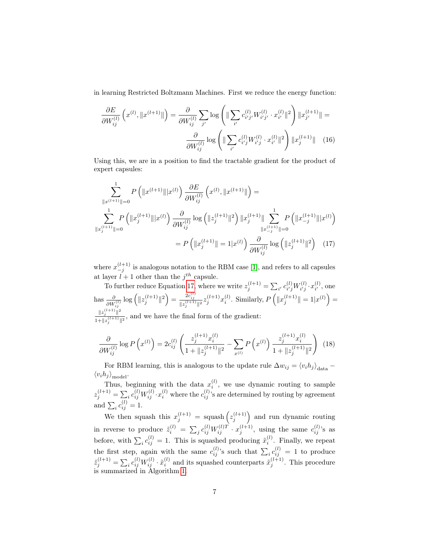in learning Restricted Boltzmann Machines. First we reduce the energy function:

$$
\frac{\partial E}{\partial W_{ij}^{(l)}} \left( x^{(l)}, \|x^{(l+1)}\| \right) = \frac{\partial}{\partial W_{ij}^{(l)}} \sum_{j'} \log \left( \| \sum_{i'} c_{i'j'}^{(l)} W_{i'j'}^{(l)} \cdot x_{i'}^{(l)} \|^2 \right) \|x_{j'}^{(l+1)}\| =
$$

$$
\frac{\partial}{\partial W_{ij}^{(l)}} \log \left( \| \sum_{i'} c_{i'j}^{(l)} W_{i'j}^{(l)} \cdot x_{i'}^{(l)} \|^2 \right) \|x_j^{(l+1)}\| \quad (16)
$$

Using this, we are in a position to find the tractable gradient for the product of expert capsules:

$$
\sum_{\|x^{(l+1)}\|=0}^{1} P\left(\|x^{(l+1)}\| |x^{(l)}\right) \frac{\partial E}{\partial W_{ij}^{(l)}} \left(x^{(l)}, \|x^{(l+1)}\|\right) =
$$
\n
$$
\sum_{\|x^{(l+1)}_j\|=0}^{1} P\left(\|x^{(l+1)}_j\| |x^{(l)}\right) \frac{\partial}{\partial W_{ij}^{(l)}} \log\left(\|z^{(l+1)}_j\|^2\right) \|x^{(l+1)}_j\| \sum_{\|x^{(l+1)}_{-j}\|=0}^{1} P\left(\|x^{(l+1)}_{-j}\| |x^{(l)}\right)
$$
\n
$$
= P\left(\|x^{(l+1)}_j\| = 1 |x^{(l)}\right) \frac{\partial}{\partial W_{ij}^{(l)}} \log\left(\|z^{(l+1)}_j\|^2\right) \quad (17)
$$

<span id="page-6-0"></span>where  $x_{-j}^{(l+1)}$  is analogous notation to the RBM case [\[1\]](#page-11-0), and refers to all capsules at layer  $l + 1$  other than the  $j<sup>th</sup>$  capsule.

To further reduce Equation [17,](#page-6-0) where we write  $z_j^{(l+1)} = \sum_{i'} c_{i'j}^{(l)}$  $\begin{smallmatrix} (l)\i'j \end{smallmatrix} W^{(l)}_{i'j}$  $x_{i'j}^{(l)} \cdot x_{i'}^{(l)}$  $i'$ , one has  $\frac{\partial}{\partial W_{ij}^{(l)}} \log \left( \|z_j^{(l+1)}\|^2 \right) = \frac{2c_{ij}^{(l)}}{\|z_j^{(l+1)}\|^2} z_j^{(l+1)} x_i^{(l)}$ . Similarly,  $P\left( \|x_j^{(l+1)}\| = 1 | x^{(l)} \right) =$  $||z_j^{(l+1)}||^2$  $\frac{||x_j||}{1+||z_j^{(l+1)}||^2}$ , and we have the final form of the gradient:

<span id="page-6-1"></span>
$$
\frac{\partial}{\partial W_{ij}^{(l)}} \log P\left(x^{(l)}\right) = 2c_{ij}^{(l)} \left(\frac{z_j^{(l+1)} x_i^{(l)}}{1 + \|z_j^{(l+1)}\|^2} - \sum_{x^{(l)}} P\left(x^{(l)}\right) \frac{z_j^{(l+1)} x_i^{(l)}}{1 + \|z_j^{(l+1)}\|^2}\right) \tag{18}
$$

For RBM learning, this is analogous to the update rule  $\Delta w_{ij} = \langle v_i h_j \rangle_{data} \langle v_i h_j \rangle_{\text{model}}$ 

Thus, beginning with the data  $x_i^{(l)}$ , we use dynamic routing to sample  $z_j^{(l+1)} = \sum_i c_{ij}^{(l)} W_{ij}^{(l)} \cdot x_i^{(l)}$  where the  $c_{ij}^{(l)}$ 's are determined by routing by agreement and  $\sum_{i} c_{ij}^{(l)} = 1$ .

We then squash this  $x_j^{(l+1)} = \text{squash}\left(z_j^{(l+1)}\right)$  and run dynamic routing in reverse to produce  $\tilde{z}_i^{(l)} = \sum_j c_{ij}^{(l)} W_{ij}^{(l)T} \cdot x_j^{(l+1)}$ , using the same  $c_{ij}^{(l)}$ 's as before, with  $\sum_i c_{ij}^{(l)} = 1$ . This is squashed producing  $\tilde{x}_i^{(l)}$ . Finally, we repeat the first step, again with the same  $c_{ij}^{(l)}$ 's such that  $\sum_i c_{ij}^{(l)} = 1$  to produce  $\tilde{z}_j^{(l+1)} = \sum_i c_{ij}^{(l)} W_{ij}^{(l)} \cdot \tilde{x}_i^{(l)}$  and its squashed counterparts  $\tilde{x}_j^{(l+1)}$ . This procedure is summarized in Algorithm [1.](#page-7-0)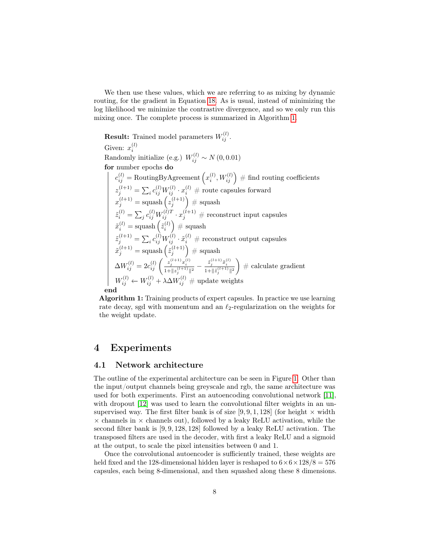We then use these values, which we are referring to as mixing by dynamic routing, for the gradient in Equation [18.](#page-6-1) As is usual, instead of minimizing the log likelihood we minimize the contrastive divergence, and so we only run this mixing once. The complete process is summarized in Algorithm [1.](#page-7-0)

**Result:** Trained model parameters  $W_{ij}^{(l)}$ . Given:  $x_i^{(l)}$ i Randomly initialize (e.g.)  $W_{ij}^{(l)} \sim N(0, 0.01)$ for number epochs do  $c_{ij}^{(l)} = \text{RoutingByAgreement}\left(x_i^{(l)}, W_{ij}^{(l)}\right) \# \text{ find routing coefficients}$  $z_j^{(l+1)} = \sum_i c_{ij}^{(l)} W_{ij}^{(l)} \cdot x_i^{(l)} \text{ } \# \text{ route capsules forward}$  $x_j^{(l+1)} = \text{squash}\left(z_j^{(l+1)}\right) \,\#\ \text{squash}$  $\tilde{z}_i^{(l)} = \sum_j c_{ij}^{(l)} W_{ij}^{(l)T} \cdot x_j^{(l+1)}$  # reconstruct input capsules  $\tilde{x}^{(l)}_i = \text{squash}\left(\tilde{z}^{(l)}_i\right) \,\#\ \text{squash}$  $\tilde{z}^{(l+1)}_j = \sum_i c^{(l)}_{ij} W^{(l)}_{ij} \cdot \tilde{x}^{(l)}_i \; \# \textrm{ reconstruct output capsules}$  $\tilde{x}_j^{(l+1)} = \text{squash}\left(\tilde{z}_j^{(l+1)}\right) \# \text{ squash}$  $\Delta W_{ij}^{(l)} = 2 c_{ij}^{(l)} \left( \frac{z_j^{(l+1)} x_i^{(l)}}{1 + \|z_j^{(l+1)}\|^2} - \frac{\tilde{z}_j^{(l+1)} \tilde{x}_i^{(l)}}{1 + \| \tilde{z}_j^{(l+1)}\|^2} \right)$  $\Big)$  # calculate gradient  $W_{ij}^{(l)} \leftarrow W_{ij}^{(l)} + \lambda \Delta W_{ij}^{(l)} \# \text{ update weights}$ 

end

<span id="page-7-0"></span>Algorithm 1: Training products of expert capsules. In practice we use learning rate decay, sgd with momentum and an  $\ell_2$ -regularization on the weights for the weight update.

## 4 Experiments

#### 4.1 Network architecture

The outline of the experimental architecture can be seen in Figure [1.](#page-8-0) Other than the input/output channels being greyscale and rgb, the same architecture was used for both experiments. First an autoencoding convolutional network [\[11\]](#page-11-10), with dropout [\[12\]](#page-11-11) was used to learn the convolutional filter weights in an unsupervised way. The first filter bank is of size [9, 9, 1, 128] (for height  $\times$  width  $\times$  channels in  $\times$  channels out), followed by a leaky ReLU activation, while the second filter bank is [9, 9, 128, 128] followed by a leaky ReLU activation. The transposed filters are used in the decoder, with first a leaky ReLU and a sigmoid at the output, to scale the pixel intensities between 0 and 1.

Once the convolutional autoencoder is sufficiently trained, these weights are held fixed and the 128-dimensional hidden layer is reshaped to  $6 \times 6 \times 128/8 = 576$ capsules, each being 8-dimensional, and then squashed along these 8 dimensions.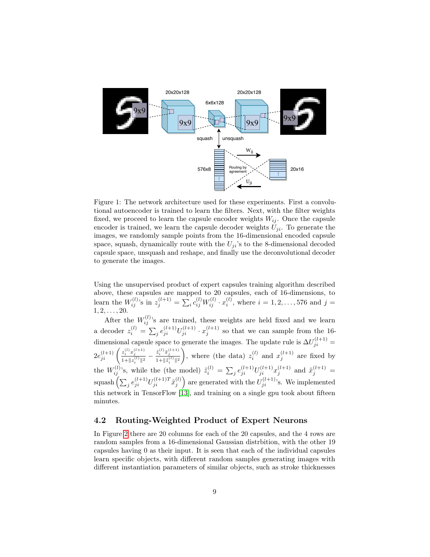<span id="page-8-0"></span>

Figure 1: The network architecture used for these experiments. First a convolutional autoencoder is trained to learn the filters. Next, with the filter weights fixed, we proceed to learn the capsule encoder weights  $W_{ij}$ . Once the capsule encoder is trained, we learn the capsule decoder weights  $U_{ji}$ . To generate the images, we randomly sample points from the 16-dimensional encoded capsule space, squash, dynamically route with the  $U_{ii}$ 's to the 8-dimensional decoded capsule space, unsquash and reshape, and finally use the deconvolutional decoder to generate the images.

Using the unsupervised product of expert capsules training algorithm described above, these capsules are mapped to 20 capsules, each of 16-dimensions, to learn the  $W_{ij}^{(l)}$ 's in  $z_j^{(l+1)} = \sum_i c_{ij}^{(l)} W_{ij}^{(l)} \cdot x_i^{(l)}$ , where  $i = 1, 2, ..., 576$  and  $j =$  $1, 2, \ldots, 20.$ 

After the  $W_{ij}^{(l)}$ 's are trained, these weights are held fixed and we learn a decoder  $z_i^{(l)} = \sum_j e_{ji}^{(l+1)} U_{ji}^{(l+1)} \cdot x_j^{(l+1)}$  so that we can sample from the 16dimensional capsule space to generate the images. The update rule is  $\Delta U_{ji}^{(l+1)}$  =  $2e_{ji}^{(l+1)}\left( \frac{z_{i}^{(l)}x_{j}^{(l+1)}}{1+\|z_{i}^{(l)} \| ^{2}} - \frac{\tilde{z}_{i}^{(l)}\tilde{x}_{j}^{(l+1)}}{1+\|\tilde{z}_{i}^{(l)} \| ^{2}} \right.$ ), where (the data)  $z_i^{(l)}$  and  $x_j^{(l+1)}$  are fixed by the  $W_{ij}^{(l)}$ 's, while the (the model)  $\tilde{z}_i^{(l)} = \sum_j e_{ji}^{(l+1)} U_{ji}^{(l+1)} x_j^{(l+1)}$  and  $\tilde{x}_j^{(l+1)} =$ squash  $\left(\sum_j e_{ji}^{(l+1)} U_{ji}^{(l+1)T} \tilde{x}_j^{(l)}\right)$  are generated with the  $U_{ji}^{(l+1)}$ 's. We implemented this network in TensorFlow [\[13\]](#page-12-0), and training on a single gpu took about fifteen minutes.

#### 4.2 Routing-Weighted Product of Expert Neurons

In Figure [2](#page-10-0) there are 20 columns for each of the 20 capsules, and the 4 rows are random samples from a 16-dimensional Gaussian distrbition, with the other 19 capsules having 0 as their input. It is seen that each of the individual capsules learn specific objects, with different random samples generating images with different instantiation parameters of similar objects, such as stroke thicknesses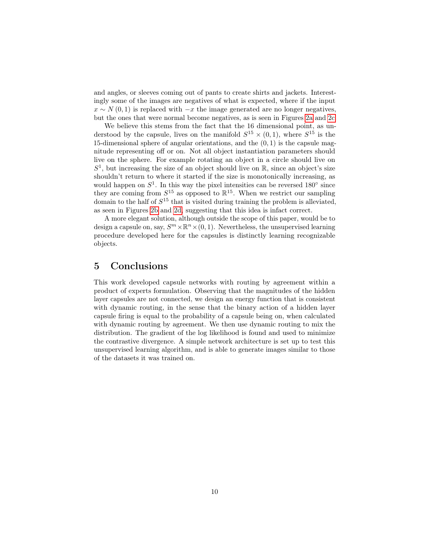and angles, or sleeves coming out of pants to create shirts and jackets. Interestingly some of the images are negatives of what is expected, where if the input  $x \sim N(0, 1)$  is replaced with  $-x$  the image generated are no longer negatives, but the ones that were normal become negatives, as is seen in Figures [2a](#page-10-0) and [2c.](#page-10-0)

We believe this stems from the fact that the 16 dimensional point, as understood by the capsule, lives on the manifold  $S^{15} \times (0,1)$ , where  $S^{15}$  is the 15-dimensional sphere of angular orientations, and the (0, 1) is the capsule magnitude representing off or on. Not all object instantiation parameters should live on the sphere. For example rotating an object in a circle should live on  $S<sup>1</sup>$ , but increasing the size of an object should live on  $\mathbb{R}$ , since an object's size shouldn't return to where it started if the size is monotonically increasing, as would happen on  $S^1$ . In this way the pixel intensities can be reversed 180 $\degree$  since they are coming from  $S^{15}$  as opposed to  $\mathbb{R}^{15}$ . When we restrict our sampling domain to the half of  $S^{15}$  that is visited during training the problem is alleviated, as seen in Figures [2b](#page-10-0) and [2d,](#page-10-0) suggesting that this idea is infact correct.

A more elegant solution, although outside the scope of this paper, would be to design a capsule on, say,  $S^m \times \mathbb{R}^n \times (0, 1)$ . Nevertheless, the unsupervised learning procedure developed here for the capsules is distinctly learning recognizable objects.

## 5 Conclusions

This work developed capsule networks with routing by agreement within a product of experts formulation. Observing that the magnitudes of the hidden layer capsules are not connected, we design an energy function that is consistent with dynamic routing, in the sense that the binary action of a hidden layer capsule firing is equal to the probability of a capsule being on, when calculated with dynamic routing by agreement. We then use dynamic routing to mix the distribution. The gradient of the log likelihood is found and used to minimize the contrastive divergence. A simple network architecture is set up to test this unsupervised learning algorithm, and is able to generate images similar to those of the datasets it was trained on.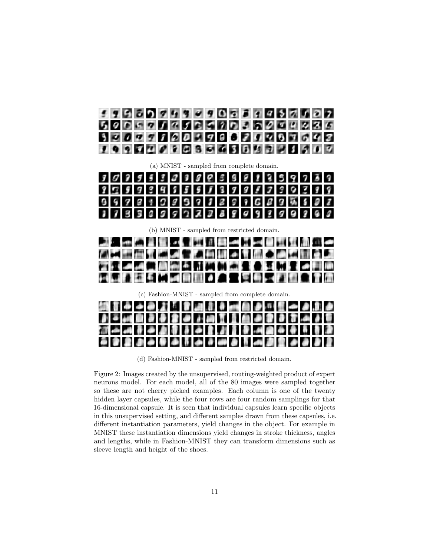<span id="page-10-0"></span>

(a) MNIST - sampled from complete domain.

| $3 0 3 5 5 3 0 3 6 6 5 8 1 3 5 9 7 3 9$ |  |  |  |  |  |  |  |  |  |
|-----------------------------------------|--|--|--|--|--|--|--|--|--|
|                                         |  |  |  |  |  |  |  |  |  |
| $999999999999996999677$                 |  |  |  |  |  |  |  |  |  |
| 373309922289929999999                   |  |  |  |  |  |  |  |  |  |

(b) MNIST - sampled from restricted domain.

|  |  |  |  | 21. 【《周皇皇》【《亚洲典》【五月皇帝复席第一                |  |  |  |  |  |  |
|--|--|--|--|------------------------------------------|--|--|--|--|--|--|
|  |  |  |  | (4) 美国西立流通 医子宫神经 人可愿之间思想意见               |  |  |  |  |  |  |
|  |  |  |  | ZF-1-4.4 MAH 61. JETONI KE KALIFI 4 FI A |  |  |  |  |  |  |
|  |  |  |  | 网络网络多尔阿鲁图 不合同受受困难的意见不愿                   |  |  |  |  |  |  |

(c) Fashion-MNIST - sampled from complete domain.

|  |  |  |  | 顔 ii i + + 0 .2 「 i d al ii + mi d + + i g + + 1.3 <i>+</i>  |  |  |  |  |  |  |
|--|--|--|--|--------------------------------------------------------------|--|--|--|--|--|--|
|  |  |  |  | 2 - 14 8 2 8 2 9 1 1 2 1 1 2 2 2 2 3 4 5 <del>1</del>        |  |  |  |  |  |  |
|  |  |  |  | [2] 수 14 동 14 14 15 15 16 18 18 19 19 19 19 19 19 19         |  |  |  |  |  |  |
|  |  |  |  | <b>G 8 8 8 4 9 4 5 4 8 4 9 4 5 4 5 4 5 6 7 8 9 8 4 6 8 7</b> |  |  |  |  |  |  |

(d) Fashion-MNIST - sampled from restricted domain.

Figure 2: Images created by the unsupervised, routing-weighted product of expert neurons model. For each model, all of the 80 images were sampled together so these are not cherry picked examples. Each column is one of the twenty hidden layer capsules, while the four rows are four random samplings for that 16-dimensional capsule. It is seen that individual capsules learn specific objects in this unsupervised setting, and different samples drawn from these capsules, i.e. different instantiation parameters, yield changes in the object. For example in MNIST these instantiation dimensions yield changes in stroke thickness, angles and lengths, while in Fashion-MNIST they can transform dimensions such as sleeve length and height of the shoes.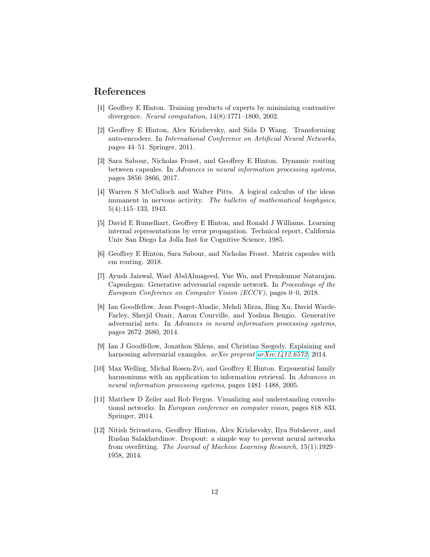## References

- <span id="page-11-0"></span>[1] Geoffrey E Hinton. Training products of experts by minimizing contrastive divergence. Neural computation, 14(8):1771–1800, 2002.
- <span id="page-11-1"></span>[2] Geoffrey E Hinton, Alex Krizhevsky, and Sida D Wang. Transforming auto-encoders. In International Conference on Artificial Neural Networks, pages 44–51. Springer, 2011.
- <span id="page-11-2"></span>[3] Sara Sabour, Nicholas Frosst, and Geoffrey E Hinton. Dynamic routing between capsules. In Advances in neural information processing systems, pages 3856–3866, 2017.
- <span id="page-11-3"></span>[4] Warren S McCulloch and Walter Pitts. A logical calculus of the ideas immanent in nervous activity. The bulletin of mathematical biophysics, 5(4):115–133, 1943.
- <span id="page-11-4"></span>[5] David E Rumelhart, Geoffrey E Hinton, and Ronald J Williams. Learning internal representations by error propagation. Technical report, California Univ San Diego La Jolla Inst for Cognitive Science, 1985.
- <span id="page-11-5"></span>[6] Geoffrey E Hinton, Sara Sabour, and Nicholas Frosst. Matrix capsules with em routing. 2018.
- <span id="page-11-6"></span>[7] Ayush Jaiswal, Wael AbdAlmageed, Yue Wu, and Premkumar Natarajan. Capsulegan: Generative adversarial capsule network. In Proceedings of the European Conference on Computer Vision (ECCV), pages 0–0, 2018.
- <span id="page-11-7"></span>[8] Ian Goodfellow, Jean Pouget-Abadie, Mehdi Mirza, Bing Xu, David Warde-Farley, Sherjil Ozair, Aaron Courville, and Yoshua Bengio. Generative adversarial nets. In Advances in neural information processing systems, pages 2672–2680, 2014.
- <span id="page-11-8"></span>[9] Ian J Goodfellow, Jonathon Shlens, and Christian Szegedy. Explaining and harnessing adversarial examples. *arXiv preprint [arXiv:1412.6572](http://arxiv.org/abs/1412.6572)*, 2014.
- <span id="page-11-9"></span>[10] Max Welling, Michal Rosen-Zvi, and Geoffrey E Hinton. Exponential family harmoniums with an application to information retrieval. In Advances in neural information processing systems, pages 1481–1488, 2005.
- <span id="page-11-10"></span>[11] Matthew D Zeiler and Rob Fergus. Visualizing and understanding convolutional networks. In European conference on computer vision, pages 818–833. Springer, 2014.
- <span id="page-11-11"></span>[12] Nitish Srivastava, Geoffrey Hinton, Alex Krizhevsky, Ilya Sutskever, and Ruslan Salakhutdinov. Dropout: a simple way to prevent neural networks from overfitting. The Journal of Machine Learning Research, 15(1):1929– 1958, 2014.